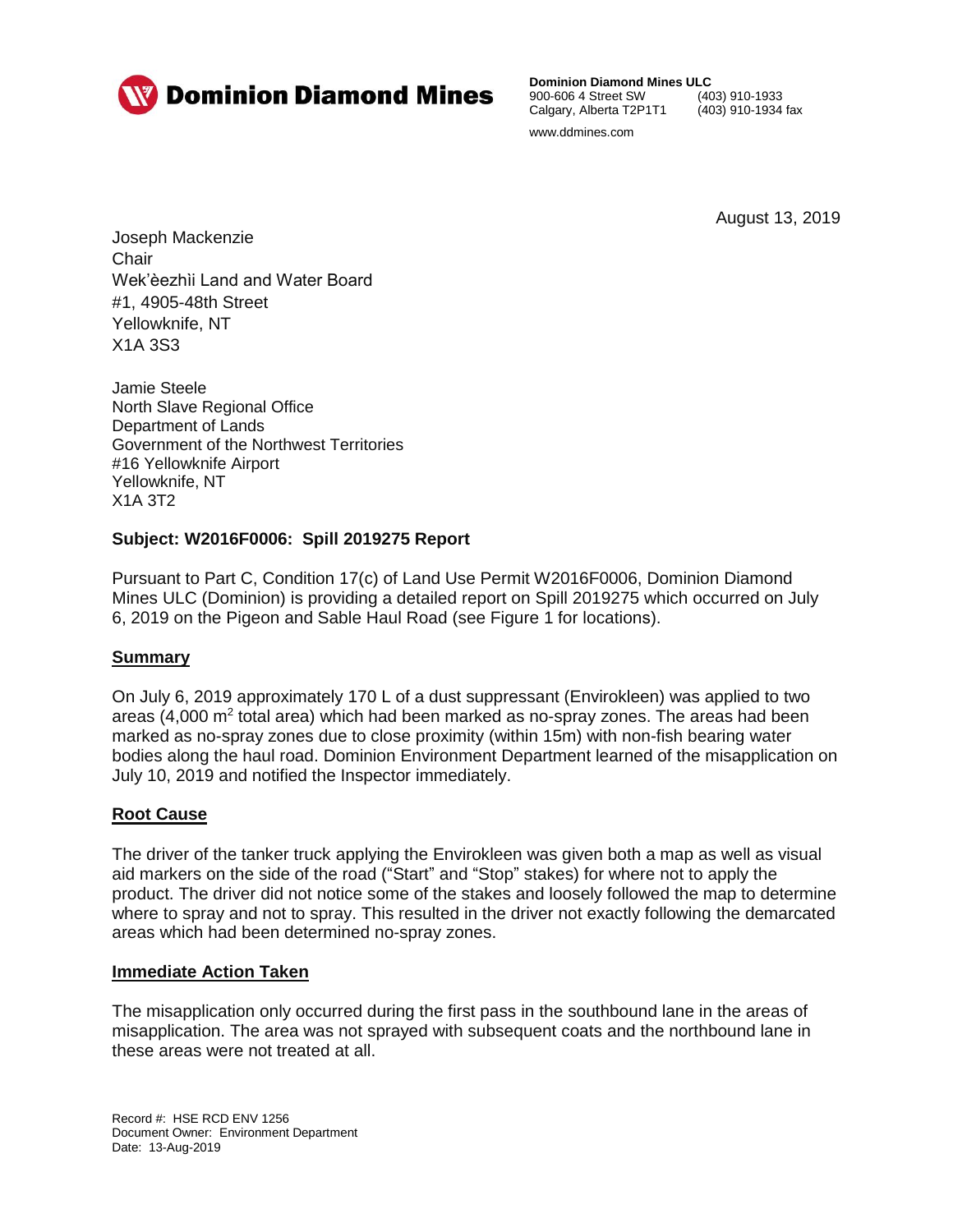

**Dominion Diamond Mines ULC**<br>900-606 4 Street SW (403) 910-1933 900-606 4 Street SW Calgary, Alberta T2P1T1 (403) 910-1934 fax www.ddmines.com

August 13, 2019

Joseph Mackenzie **Chair** Wek'èezhìi Land and Water Board #1, 4905-48th Street Yellowknife, NT X1A 3S3

Jamie Steele North Slave Regional Office Department of Lands Government of the Northwest Territories #16 Yellowknife Airport Yellowknife, NT X1A 3T2

# **Subject: W2016F0006: Spill 2019275 Report**

Pursuant to Part C, Condition 17(c) of Land Use Permit W2016F0006, Dominion Diamond Mines ULC (Dominion) is providing a detailed report on Spill 2019275 which occurred on July 6, 2019 on the Pigeon and Sable Haul Road (see Figure 1 for locations).

# **Summary**

On July 6, 2019 approximately 170 L of a dust suppressant (Envirokleen) was applied to two areas  $(4,000 \text{ m}^2 \text{ total area})$  which had been marked as no-spray zones. The areas had been marked as no-spray zones due to close proximity (within 15m) with non-fish bearing water bodies along the haul road. Dominion Environment Department learned of the misapplication on July 10, 2019 and notified the Inspector immediately.

# **Root Cause**

The driver of the tanker truck applying the Envirokleen was given both a map as well as visual aid markers on the side of the road ("Start" and "Stop" stakes) for where not to apply the product. The driver did not notice some of the stakes and loosely followed the map to determine where to spray and not to spray. This resulted in the driver not exactly following the demarcated areas which had been determined no-spray zones.

## **Immediate Action Taken**

The misapplication only occurred during the first pass in the southbound lane in the areas of misapplication. The area was not sprayed with subsequent coats and the northbound lane in these areas were not treated at all.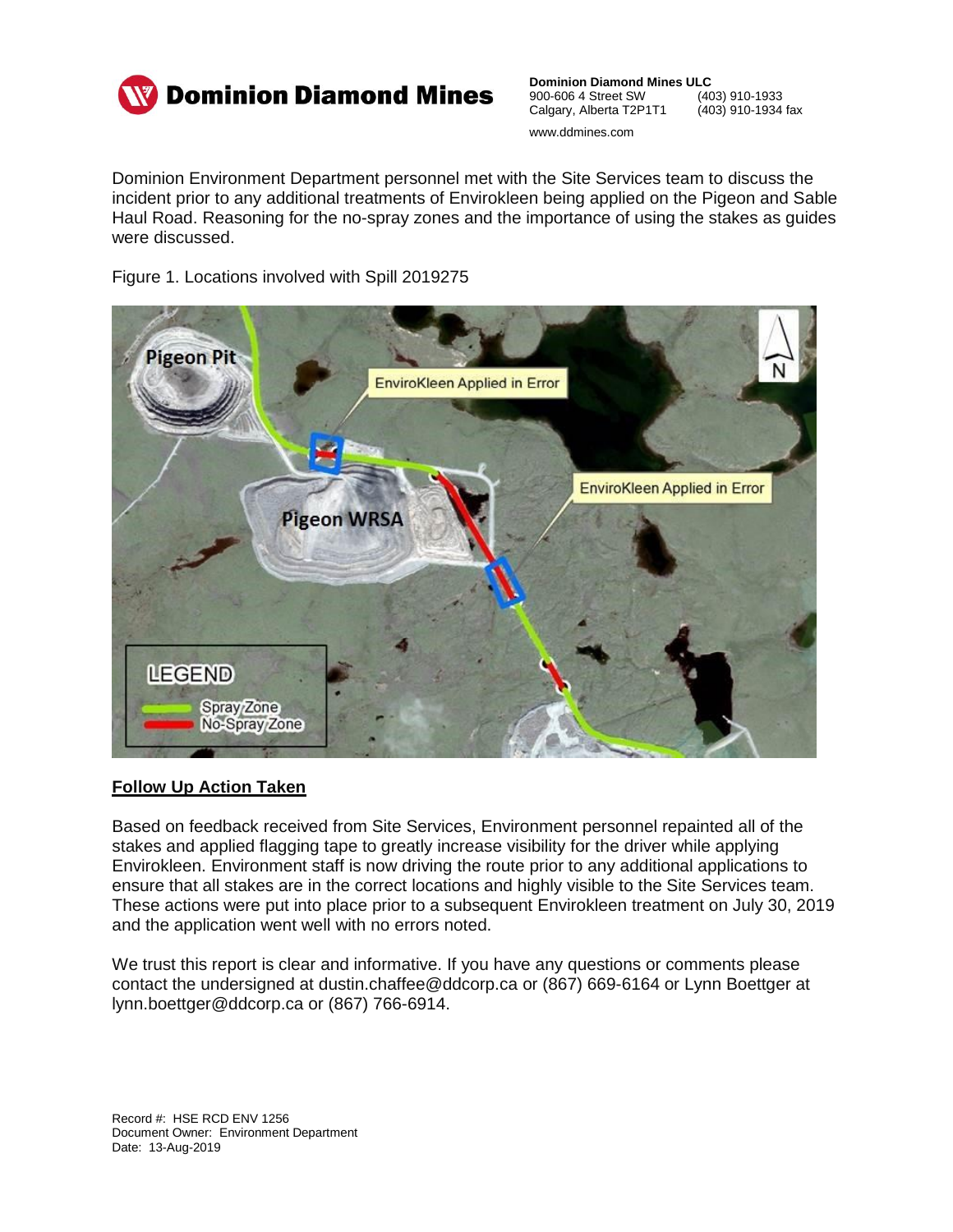

**Dominion Diamond Mines ULC**<br>900-606 4 Street SW (403) 910-1933 900-606 4 Street SW (403) 910-1933<br>Calgary, Alberta T2P1T1 (403) 910-1934 fax Calgary, Alberta T2P1T1 www.ddmines.com

Dominion Environment Department personnel met with the Site Services team to discuss the incident prior to any additional treatments of Envirokleen being applied on the Pigeon and Sable Haul Road. Reasoning for the no-spray zones and the importance of using the stakes as guides were discussed.

Figure 1. Locations involved with Spill 2019275



## **Follow Up Action Taken**

Based on feedback received from Site Services, Environment personnel repainted all of the stakes and applied flagging tape to greatly increase visibility for the driver while applying Envirokleen. Environment staff is now driving the route prior to any additional applications to ensure that all stakes are in the correct locations and highly visible to the Site Services team. These actions were put into place prior to a subsequent Envirokleen treatment on July 30, 2019 and the application went well with no errors noted.

We trust this report is clear and informative. If you have any questions or comments please contact the undersigned at dustin.chaffee@ddcorp.ca or (867) 669-6164 or Lynn Boettger at lynn.boettger@ddcorp.ca or (867) 766-6914.